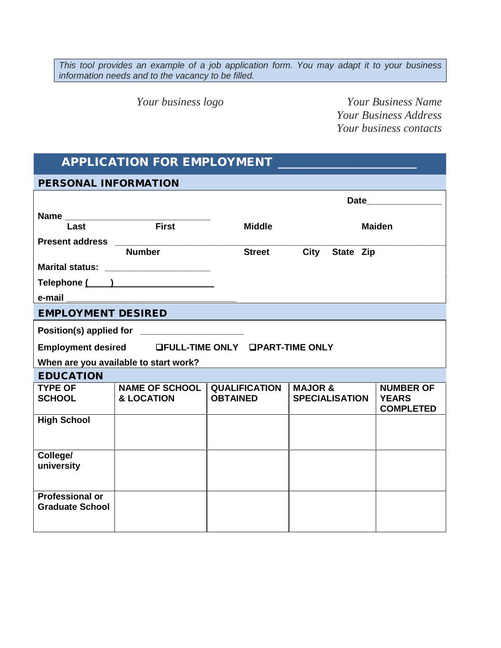*This tool provides an example of a job application form. You may adapt it to your business information needs and to the vacancy to be filled.*

*Your business logo Your Business Name Your Business Address Your business contacts*

## **APPLICATION FOR EMPLOYMENT \_\_\_\_\_\_\_\_\_\_\_\_\_\_\_\_\_\_\_\_\_\_\_\_**

**PERSONAL INFORMATION**

|                                                  |                                                    | Date                                    |                                             |                                                      |
|--------------------------------------------------|----------------------------------------------------|-----------------------------------------|---------------------------------------------|------------------------------------------------------|
|                                                  | Name                                               |                                         |                                             |                                                      |
| Last                                             | <b>First</b>                                       | <b>Middle</b>                           |                                             | <b>Maiden</b>                                        |
| <b>Present address</b>                           |                                                    |                                         |                                             |                                                      |
|                                                  | <b>Number</b>                                      | <b>Street</b>                           | City<br>State Zip                           |                                                      |
|                                                  | Marital status: _________________________          |                                         |                                             |                                                      |
|                                                  | Telephone ( )                                      |                                         |                                             |                                                      |
|                                                  |                                                    |                                         |                                             |                                                      |
| <b>EMPLOYMENT DESIRED</b>                        |                                                    |                                         |                                             |                                                      |
|                                                  |                                                    |                                         |                                             |                                                      |
|                                                  | Employment desired LFULL-TIME ONLY LPART-TIME ONLY |                                         |                                             |                                                      |
|                                                  | When are you available to start work?              |                                         |                                             |                                                      |
| <b>EDUCATION</b>                                 |                                                    |                                         |                                             |                                                      |
| <b>TYPE OF</b><br><b>SCHOOL</b>                  | <b>NAME OF SCHOOL</b><br><b>&amp; LOCATION</b>     | <b>QUALIFICATION</b><br><b>OBTAINED</b> | <b>MAJOR &amp;</b><br><b>SPECIALISATION</b> | <b>NUMBER OF</b><br><b>YEARS</b><br><b>COMPLETED</b> |
| <b>High School</b>                               |                                                    |                                         |                                             |                                                      |
| College/<br>university                           |                                                    |                                         |                                             |                                                      |
| <b>Professional or</b><br><b>Graduate School</b> |                                                    |                                         |                                             |                                                      |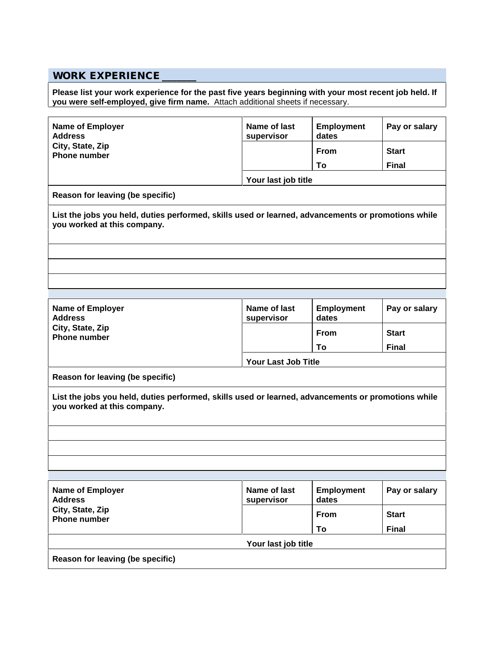## **WORK EXPERIENCE \_\_\_\_\_\_\_**

**Please list your work experience for the past five years beginning with your most recent job held. If you were self-employed, give firm name.** Attach additional sheets if necessary.

| Name of Employer<br><b>Address</b>                                                                                                | Name of last<br>supervisor | <b>Employment</b><br>dates | Pay or salary |  |
|-----------------------------------------------------------------------------------------------------------------------------------|----------------------------|----------------------------|---------------|--|
| City, State, Zip<br><b>Phone number</b>                                                                                           |                            | <b>From</b>                | <b>Start</b>  |  |
|                                                                                                                                   |                            | To                         | <b>Final</b>  |  |
|                                                                                                                                   | Your last job title        |                            |               |  |
| Reason for leaving (be specific)                                                                                                  |                            |                            |               |  |
| List the jobs you held, duties performed, skills used or learned, advancements or promotions while<br>you worked at this company. |                            |                            |               |  |
|                                                                                                                                   |                            |                            |               |  |
|                                                                                                                                   |                            |                            |               |  |
|                                                                                                                                   |                            |                            |               |  |
| Name of Employer                                                                                                                  | Name of last               | <b>Employment</b>          | Pay or salary |  |
| <b>Address</b>                                                                                                                    | supervisor                 | dates                      |               |  |
| City, State, Zip<br><b>Phone number</b>                                                                                           |                            | <b>From</b>                | <b>Start</b>  |  |
|                                                                                                                                   |                            | To                         | <b>Final</b>  |  |
|                                                                                                                                   | Your Last Job Title        |                            |               |  |
| Reason for leaving (be specific)                                                                                                  |                            |                            |               |  |
| List the jobs you held, duties performed, skills used or learned, advancements or promotions while<br>you worked at this company. |                            |                            |               |  |
|                                                                                                                                   |                            |                            |               |  |
|                                                                                                                                   |                            |                            |               |  |
|                                                                                                                                   |                            |                            |               |  |
| Name of Employer<br><b>Address</b>                                                                                                | Name of last<br>supervisor | <b>Employment</b><br>dates | Pay or salary |  |
| City, State, Zip<br><b>Phone number</b>                                                                                           |                            | From                       | <b>Start</b>  |  |
|                                                                                                                                   |                            | To                         | <b>Final</b>  |  |
|                                                                                                                                   | Your last job title        |                            |               |  |
| Reason for leaving (be specific)                                                                                                  |                            |                            |               |  |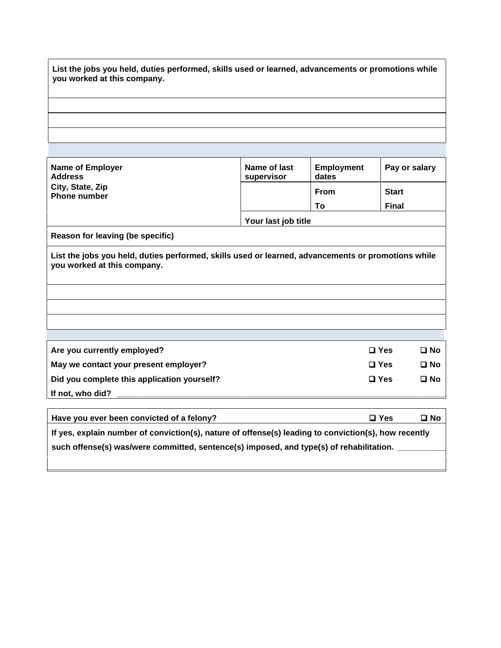| List the jobs you held, duties performed, skills used or learned, advancements or promotions while<br>you worked at this company. |
|-----------------------------------------------------------------------------------------------------------------------------------|
|                                                                                                                                   |
|                                                                                                                                   |
|                                                                                                                                   |
|                                                                                                                                   |

| <b>Name of Employer</b><br><b>Address</b><br>City, State, Zip<br><b>Phone number</b>                                              | Name of last<br>supervisor | <b>Employment</b><br>dates<br><b>From</b><br>To | Pay or salary<br><b>Start</b><br><b>Final</b> |  |
|-----------------------------------------------------------------------------------------------------------------------------------|----------------------------|-------------------------------------------------|-----------------------------------------------|--|
|                                                                                                                                   | Your last job title        |                                                 |                                               |  |
| Reason for leaving (be specific)                                                                                                  |                            |                                                 |                                               |  |
| List the jobs you held, duties performed, skills used or learned, advancements or promotions while<br>you worked at this company. |                            |                                                 |                                               |  |
|                                                                                                                                   |                            |                                                 |                                               |  |
|                                                                                                                                   |                            |                                                 |                                               |  |
| Are you currently employed?                                                                                                       |                            |                                                 | $\Box$ Yes<br>$\square$ No                    |  |
| May we contact your present employer?                                                                                             |                            |                                                 | $\square$ Yes<br>$\square$ No                 |  |
| Did you complete this application yourself?                                                                                       |                            |                                                 | $\square$ Yes<br>$\square$ No                 |  |

| Have you ever been convicted of a felony?                                                            | $\square$ Yes | □ No |  |  |
|------------------------------------------------------------------------------------------------------|---------------|------|--|--|
| If yes, explain number of conviction(s), nature of offense(s) leading to conviction(s), how recently |               |      |  |  |
| such offense(s) was/were committed, sentence(s) imposed, and type(s) of rehabilitation.              |               |      |  |  |
|                                                                                                      |               |      |  |  |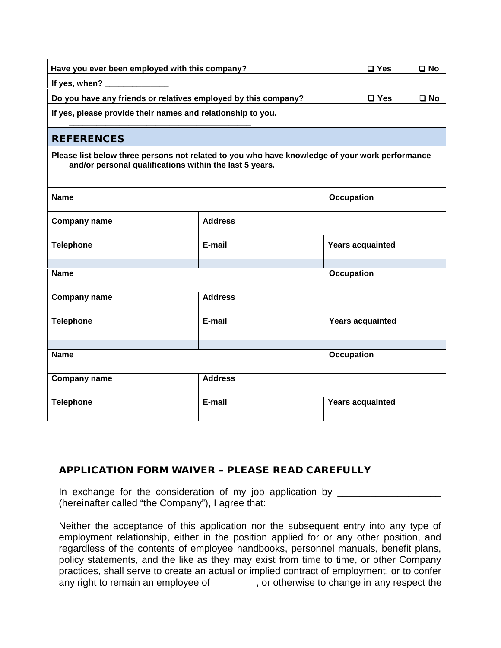| Have you ever been employed with this company?                                                                                                            |                | $\square$ Yes           | $\square$ No |
|-----------------------------------------------------------------------------------------------------------------------------------------------------------|----------------|-------------------------|--------------|
| If yes, when?                                                                                                                                             |                |                         |              |
| Do you have any friends or relatives employed by this company?                                                                                            |                | $\square$ Yes           | $\square$ No |
| If yes, please provide their names and relationship to you.                                                                                               |                |                         |              |
| <b>REFERENCES</b>                                                                                                                                         |                |                         |              |
| Please list below three persons not related to you who have knowledge of your work performance<br>and/or personal qualifications within the last 5 years. |                |                         |              |
| <b>Name</b>                                                                                                                                               |                | <b>Occupation</b>       |              |
| <b>Company name</b>                                                                                                                                       | <b>Address</b> |                         |              |
| <b>Telephone</b>                                                                                                                                          | E-mail         | <b>Years acquainted</b> |              |
| <b>Name</b>                                                                                                                                               |                | <b>Occupation</b>       |              |
| <b>Company name</b>                                                                                                                                       | <b>Address</b> |                         |              |
| <b>Telephone</b>                                                                                                                                          | $E-mail$       | <b>Years acquainted</b> |              |
| <b>Name</b>                                                                                                                                               |                | <b>Occupation</b>       |              |
| <b>Company name</b>                                                                                                                                       | <b>Address</b> |                         |              |
| <b>Telephone</b>                                                                                                                                          | E-mail         | <b>Years acquainted</b> |              |

## **APPLICATION FORM WAIVER – PLEASE READ CAREFULLY**

In exchange for the consideration of my job application by \_\_\_\_\_\_\_\_\_\_\_\_\_\_\_\_\_\_\_\_\_ (hereinafter called "the Company"), I agree that:

Neither the acceptance of this application nor the subsequent entry into any type of employment relationship, either in the position applied for or any other position, and regardless of the contents of employee handbooks, personnel manuals, benefit plans, policy statements, and the like as they may exist from time to time, or other Company practices, shall serve to create an actual or implied contract of employment, or to confer<br>any right to remain an employee of , or otherwise to change in any respect the , or otherwise to change in any respect the